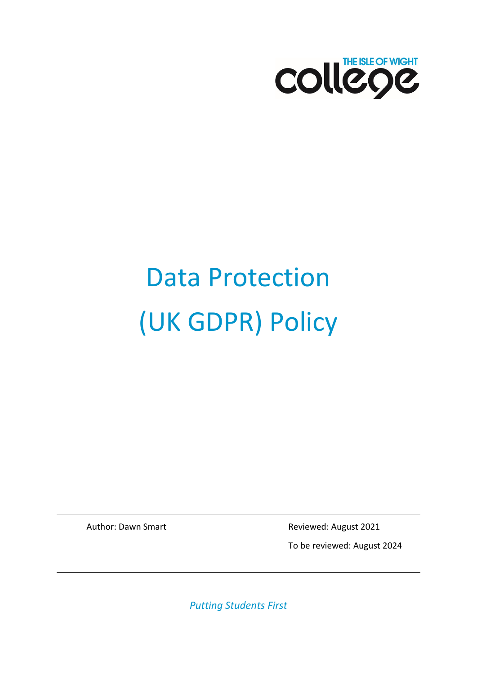

# Data Protection (UK GDPR) Policy

Author: Dawn Smart **Reviewed: August 2021** 

To be reviewed: August 2024

*Putting Students First*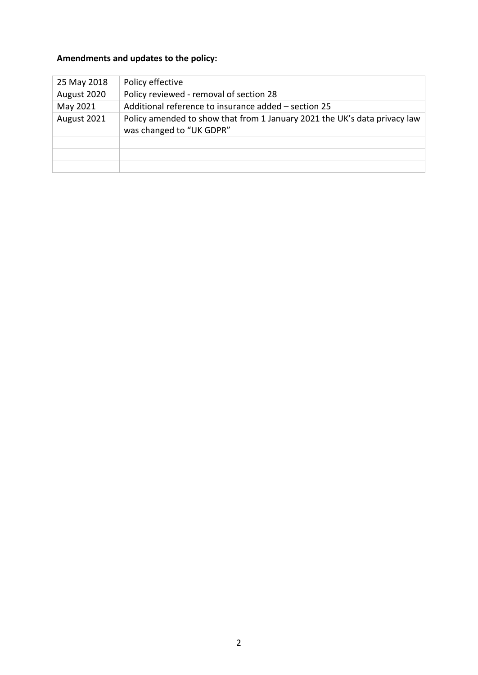#### **Amendments and updates to the policy:**

| 25 May 2018 | Policy effective                                                                                      |
|-------------|-------------------------------------------------------------------------------------------------------|
| August 2020 | Policy reviewed - removal of section 28                                                               |
| May 2021    | Additional reference to insurance added – section 25                                                  |
| August 2021 | Policy amended to show that from 1 January 2021 the UK's data privacy law<br>was changed to "UK GDPR" |
|             |                                                                                                       |
|             |                                                                                                       |
|             |                                                                                                       |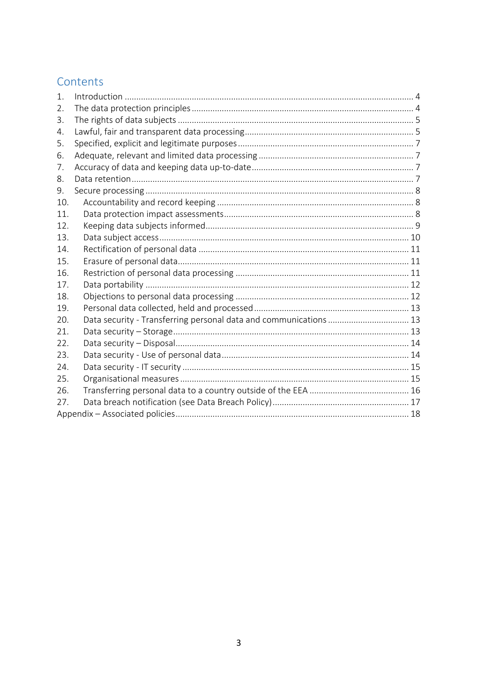## Contents

| 1.  |                                                                   |  |
|-----|-------------------------------------------------------------------|--|
| 2.  |                                                                   |  |
| 3.  |                                                                   |  |
| 4.  |                                                                   |  |
| 5.  |                                                                   |  |
| 6.  |                                                                   |  |
| 7.  |                                                                   |  |
| 8.  |                                                                   |  |
| 9.  |                                                                   |  |
| 10. |                                                                   |  |
| 11. |                                                                   |  |
| 12. |                                                                   |  |
| 13. |                                                                   |  |
| 14. |                                                                   |  |
| 15. |                                                                   |  |
| 16. |                                                                   |  |
| 17. |                                                                   |  |
| 18. |                                                                   |  |
| 19. |                                                                   |  |
| 20. | Data security - Transferring personal data and communications  13 |  |
| 21. |                                                                   |  |
| 22. |                                                                   |  |
| 23. |                                                                   |  |
| 24. |                                                                   |  |
| 25. |                                                                   |  |
| 26. |                                                                   |  |
| 27. |                                                                   |  |
|     |                                                                   |  |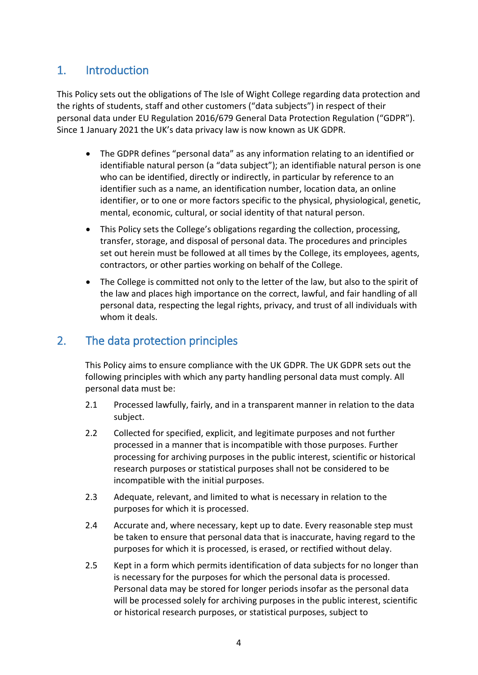## <span id="page-3-0"></span>1. Introduction

This Policy sets out the obligations of The Isle of Wight College regarding data protection and the rights of students, staff and other customers ("data subjects") in respect of their personal data under EU Regulation 2016/679 General Data Protection Regulation ("GDPR"). Since 1 January 2021 the UK's data privacy law is now known as UK GDPR.

- The GDPR defines "personal data" as any information relating to an identified or identifiable natural person (a "data subject"); an identifiable natural person is one who can be identified, directly or indirectly, in particular by reference to an identifier such as a name, an identification number, location data, an online identifier, or to one or more factors specific to the physical, physiological, genetic, mental, economic, cultural, or social identity of that natural person.
- This Policy sets the College's obligations regarding the collection, processing, transfer, storage, and disposal of personal data. The procedures and principles set out herein must be followed at all times by the College, its employees, agents, contractors, or other parties working on behalf of the College.
- The College is committed not only to the letter of the law, but also to the spirit of the law and places high importance on the correct, lawful, and fair handling of all personal data, respecting the legal rights, privacy, and trust of all individuals with whom it deals.

## <span id="page-3-1"></span>2. The data protection principles

This Policy aims to ensure compliance with the UK GDPR. The UK GDPR sets out the following principles with which any party handling personal data must comply. All personal data must be:

- 2.1 Processed lawfully, fairly, and in a transparent manner in relation to the data subject.
- 2.2 Collected for specified, explicit, and legitimate purposes and not further processed in a manner that is incompatible with those purposes. Further processing for archiving purposes in the public interest, scientific or historical research purposes or statistical purposes shall not be considered to be incompatible with the initial purposes.
- 2.3 Adequate, relevant, and limited to what is necessary in relation to the purposes for which it is processed.
- 2.4 Accurate and, where necessary, kept up to date. Every reasonable step must be taken to ensure that personal data that is inaccurate, having regard to the purposes for which it is processed, is erased, or rectified without delay.
- 2.5 Kept in a form which permits identification of data subjects for no longer than is necessary for the purposes for which the personal data is processed. Personal data may be stored for longer periods insofar as the personal data will be processed solely for archiving purposes in the public interest, scientific or historical research purposes, or statistical purposes, subject to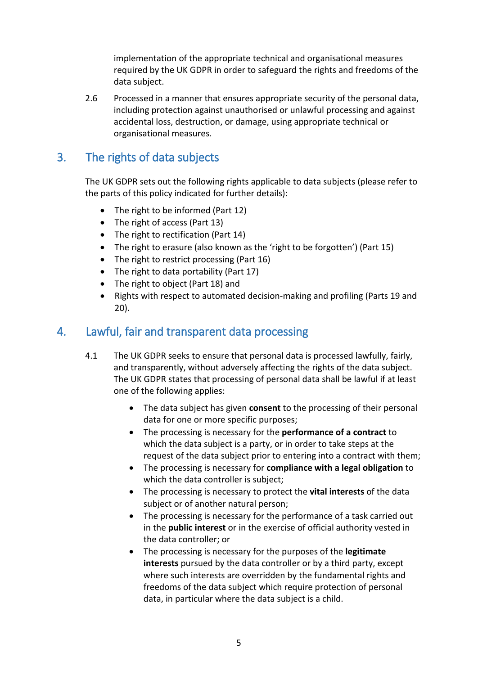implementation of the appropriate technical and organisational measures required by the UK GDPR in order to safeguard the rights and freedoms of the data subject.

2.6 Processed in a manner that ensures appropriate security of the personal data, including protection against unauthorised or unlawful processing and against accidental loss, destruction, or damage, using appropriate technical or organisational measures.

## <span id="page-4-0"></span>3. The rights of data subjects

The UK GDPR sets out the following rights applicable to data subjects (please refer to the parts of this policy indicated for further details):

- The right to be informed (Part 12)
- The right of access (Part 13)
- The right to rectification (Part 14)
- The right to erasure (also known as the 'right to be forgotten') (Part 15)
- The right to restrict processing (Part 16)
- The right to data portability (Part 17)
- The right to object (Part 18) and
- Rights with respect to automated decision-making and profiling (Parts 19 and 20).

## <span id="page-4-1"></span>4. Lawful, fair and transparent data processing

- 4.1 The UK GDPR seeks to ensure that personal data is processed lawfully, fairly, and transparently, without adversely affecting the rights of the data subject. The UK GDPR states that processing of personal data shall be lawful if at least one of the following applies:
	- The data subject has given **consent** to the processing of their personal data for one or more specific purposes;
	- The processing is necessary for the **performance of a contract** to which the data subject is a party, or in order to take steps at the request of the data subject prior to entering into a contract with them;
	- The processing is necessary for **compliance with a legal obligation** to which the data controller is subject;
	- The processing is necessary to protect the **vital interests** of the data subject or of another natural person;
	- The processing is necessary for the performance of a task carried out in the **public interest** or in the exercise of official authority vested in the data controller; or
	- The processing is necessary for the purposes of the **legitimate interests** pursued by the data controller or by a third party, except where such interests are overridden by the fundamental rights and freedoms of the data subject which require protection of personal data, in particular where the data subject is a child.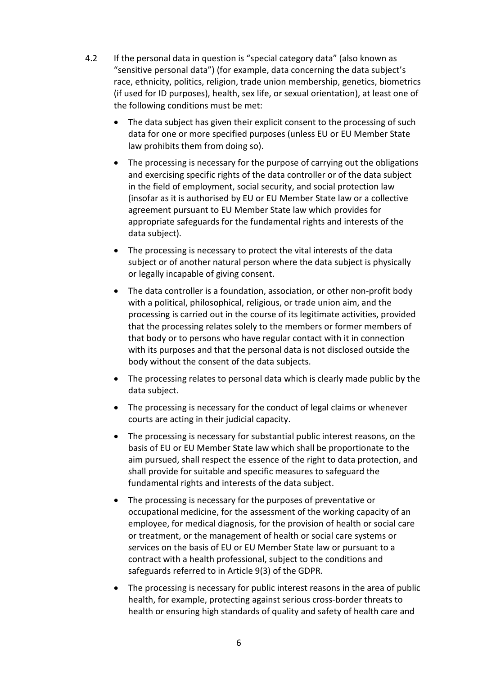- 4.2 If the personal data in question is "special category data" (also known as "sensitive personal data") (for example, data concerning the data subject's race, ethnicity, politics, religion, trade union membership, genetics, biometrics (if used for ID purposes), health, sex life, or sexual orientation), at least one of the following conditions must be met:
	- The data subject has given their explicit consent to the processing of such data for one or more specified purposes (unless EU or EU Member State law prohibits them from doing so).
	- The processing is necessary for the purpose of carrying out the obligations and exercising specific rights of the data controller or of the data subject in the field of employment, social security, and social protection law (insofar as it is authorised by EU or EU Member State law or a collective agreement pursuant to EU Member State law which provides for appropriate safeguards for the fundamental rights and interests of the data subject).
	- The processing is necessary to protect the vital interests of the data subject or of another natural person where the data subject is physically or legally incapable of giving consent.
	- The data controller is a foundation, association, or other non-profit body with a political, philosophical, religious, or trade union aim, and the processing is carried out in the course of its legitimate activities, provided that the processing relates solely to the members or former members of that body or to persons who have regular contact with it in connection with its purposes and that the personal data is not disclosed outside the body without the consent of the data subjects.
	- The processing relates to personal data which is clearly made public by the data subject.
	- The processing is necessary for the conduct of legal claims or whenever courts are acting in their judicial capacity.
	- The processing is necessary for substantial public interest reasons, on the basis of EU or EU Member State law which shall be proportionate to the aim pursued, shall respect the essence of the right to data protection, and shall provide for suitable and specific measures to safeguard the fundamental rights and interests of the data subject.
	- The processing is necessary for the purposes of preventative or occupational medicine, for the assessment of the working capacity of an employee, for medical diagnosis, for the provision of health or social care or treatment, or the management of health or social care systems or services on the basis of EU or EU Member State law or pursuant to a contract with a health professional, subject to the conditions and safeguards referred to in Article 9(3) of the GDPR.
	- The processing is necessary for public interest reasons in the area of public health, for example, protecting against serious cross-border threats to health or ensuring high standards of quality and safety of health care and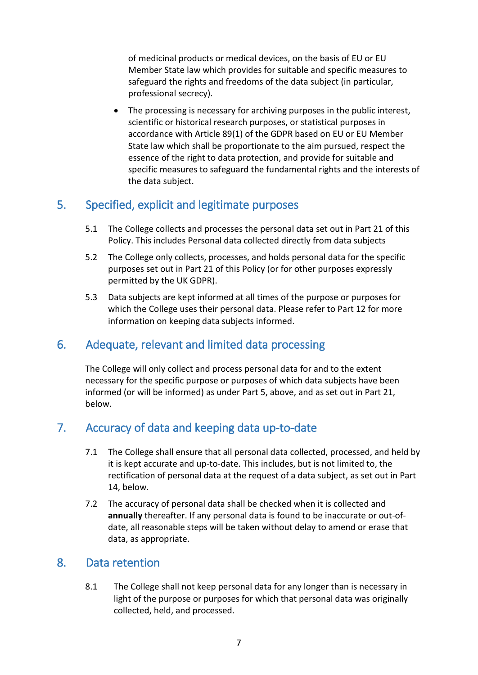of medicinal products or medical devices, on the basis of EU or EU Member State law which provides for suitable and specific measures to safeguard the rights and freedoms of the data subject (in particular, professional secrecy).

The processing is necessary for archiving purposes in the public interest, scientific or historical research purposes, or statistical purposes in accordance with Article 89(1) of the GDPR based on EU or EU Member State law which shall be proportionate to the aim pursued, respect the essence of the right to data protection, and provide for suitable and specific measures to safeguard the fundamental rights and the interests of the data subject.

## <span id="page-6-0"></span>5. Specified, explicit and legitimate purposes

- 5.1 The College collects and processes the personal data set out in Part 21 of this Policy. This includes Personal data collected directly from data subjects
- 5.2 The College only collects, processes, and holds personal data for the specific purposes set out in Part 21 of this Policy (or for other purposes expressly permitted by the UK GDPR).
- 5.3 Data subjects are kept informed at all times of the purpose or purposes for which the College uses their personal data. Please refer to Part 12 for more information on keeping data subjects informed.

## <span id="page-6-1"></span>6. Adequate, relevant and limited data processing

The College will only collect and process personal data for and to the extent necessary for the specific purpose or purposes of which data subjects have been informed (or will be informed) as under Part 5, above, and as set out in Part 21, below.

## <span id="page-6-2"></span>7. Accuracy of data and keeping data up-to-date

- 7.1 The College shall ensure that all personal data collected, processed, and held by it is kept accurate and up-to-date. This includes, but is not limited to, the rectification of personal data at the request of a data subject, as set out in Part 14, below.
- 7.2 The accuracy of personal data shall be checked when it is collected and **annually** thereafter. If any personal data is found to be inaccurate or out-ofdate, all reasonable steps will be taken without delay to amend or erase that data, as appropriate.

#### <span id="page-6-3"></span>8. Data retention

8.1 The College shall not keep personal data for any longer than is necessary in light of the purpose or purposes for which that personal data was originally collected, held, and processed.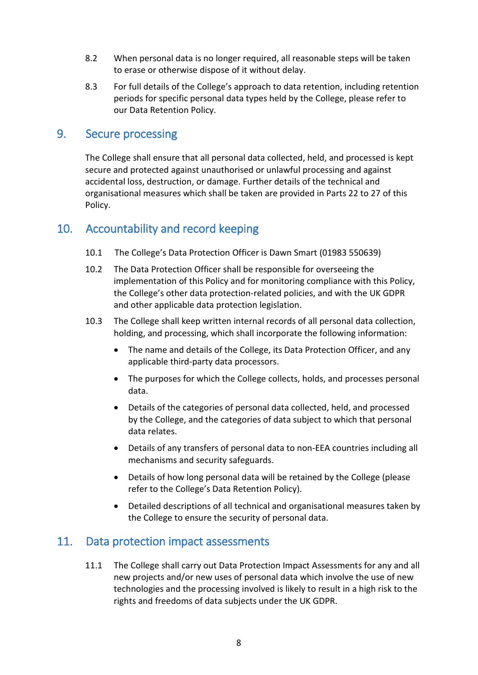- 8.2 When personal data is no longer required, all reasonable steps will be taken to erase or otherwise dispose of it without delay.
- 8.3 For full details of the College's approach to data retention, including retention periods for specific personal data types held by the College, please refer to our Data Retention Policy.

#### <span id="page-7-0"></span>9. Secure processing

The College shall ensure that all personal data collected, held, and processed is kept secure and protected against unauthorised or unlawful processing and against accidental loss, destruction, or damage. Further details of the technical and organisational measures which shall be taken are provided in Parts 22 to 27 of this Policy.

## <span id="page-7-1"></span>10. Accountability and record keeping

- 10.1 The College's Data Protection Officer is Dawn Smart (01983 550639)
- 10.2 The Data Protection Officer shall be responsible for overseeing the implementation of this Policy and for monitoring compliance with this Policy, the College's other data protection-related policies, and with the UK GDPR and other applicable data protection legislation.
- 10.3 The College shall keep written internal records of all personal data collection, holding, and processing, which shall incorporate the following information:
	- The name and details of the College, its Data Protection Officer, and any applicable third-party data processors.
	- The purposes for which the College collects, holds, and processes personal data.
	- Details of the categories of personal data collected, held, and processed by the College, and the categories of data subject to which that personal data relates.
	- Details of any transfers of personal data to non-EEA countries including all mechanisms and security safeguards.
	- Details of how long personal data will be retained by the College (please refer to the College's Data Retention Policy).
	- Detailed descriptions of all technical and organisational measures taken by the College to ensure the security of personal data.

#### <span id="page-7-2"></span>11. Data protection impact assessments

11.1 The College shall carry out Data Protection Impact Assessments for any and all new projects and/or new uses of personal data which involve the use of new technologies and the processing involved is likely to result in a high risk to the rights and freedoms of data subjects under the UK GDPR.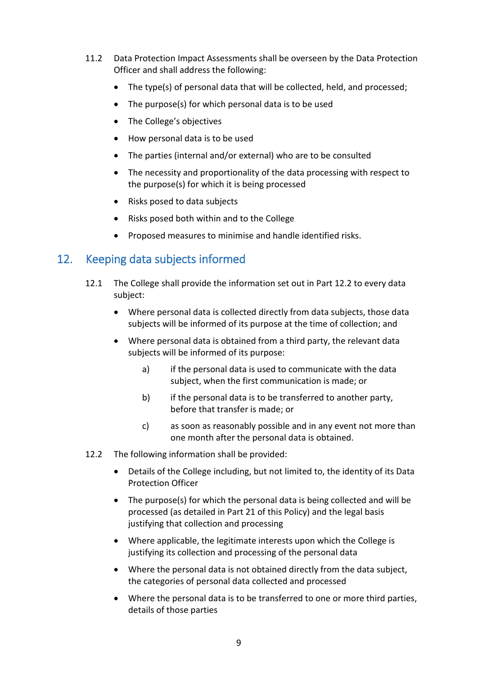- 11.2 Data Protection Impact Assessments shall be overseen by the Data Protection Officer and shall address the following:
	- The type(s) of personal data that will be collected, held, and processed;
	- The purpose(s) for which personal data is to be used
	- The College's objectives
	- How personal data is to be used
	- The parties (internal and/or external) who are to be consulted
	- The necessity and proportionality of the data processing with respect to the purpose(s) for which it is being processed
	- Risks posed to data subjects
	- Risks posed both within and to the College
	- Proposed measures to minimise and handle identified risks.

## <span id="page-8-0"></span>12. Keeping data subjects informed

- 12.1 The College shall provide the information set out in Part 12.2 to every data subject:
	- Where personal data is collected directly from data subjects, those data subjects will be informed of its purpose at the time of collection; and
	- Where personal data is obtained from a third party, the relevant data subjects will be informed of its purpose:
		- a) if the personal data is used to communicate with the data subject, when the first communication is made; or
		- b) if the personal data is to be transferred to another party, before that transfer is made; or
		- c) as soon as reasonably possible and in any event not more than one month after the personal data is obtained.
- 12.2 The following information shall be provided:
	- Details of the College including, but not limited to, the identity of its Data Protection Officer
	- The purpose(s) for which the personal data is being collected and will be processed (as detailed in Part 21 of this Policy) and the legal basis justifying that collection and processing
	- Where applicable, the legitimate interests upon which the College is justifying its collection and processing of the personal data
	- Where the personal data is not obtained directly from the data subject, the categories of personal data collected and processed
	- Where the personal data is to be transferred to one or more third parties, details of those parties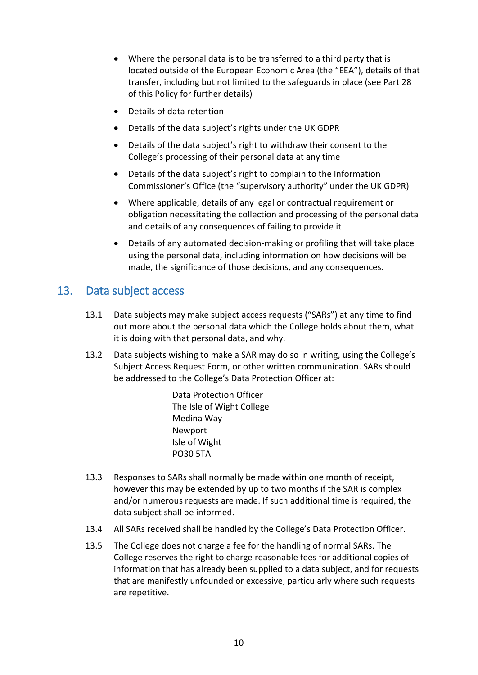- Where the personal data is to be transferred to a third party that is located outside of the European Economic Area (the "EEA"), details of that transfer, including but not limited to the safeguards in place (see Part 28 of this Policy for further details)
- Details of data retention
- Details of the data subject's rights under the UK GDPR
- Details of the data subject's right to withdraw their consent to the College's processing of their personal data at any time
- Details of the data subject's right to complain to the Information Commissioner's Office (the "supervisory authority" under the UK GDPR)
- Where applicable, details of any legal or contractual requirement or obligation necessitating the collection and processing of the personal data and details of any consequences of failing to provide it
- Details of any automated decision-making or profiling that will take place using the personal data, including information on how decisions will be made, the significance of those decisions, and any consequences.

#### <span id="page-9-0"></span>13. Data subject access

- 13.1 Data subjects may make subject access requests ("SARs") at any time to find out more about the personal data which the College holds about them, what it is doing with that personal data, and why.
- 13.2 Data subjects wishing to make a SAR may do so in writing, using the College's Subject Access Request Form, or other written communication. SARs should be addressed to the College's Data Protection Officer at:

Data Protection Officer The Isle of Wight College Medina Way Newport Isle of Wight PO30 5TA

- 13.3 Responses to SARs shall normally be made within one month of receipt, however this may be extended by up to two months if the SAR is complex and/or numerous requests are made. If such additional time is required, the data subject shall be informed.
- 13.4 All SARs received shall be handled by the College's Data Protection Officer.
- 13.5 The College does not charge a fee for the handling of normal SARs. The College reserves the right to charge reasonable fees for additional copies of information that has already been supplied to a data subject, and for requests that are manifestly unfounded or excessive, particularly where such requests are repetitive.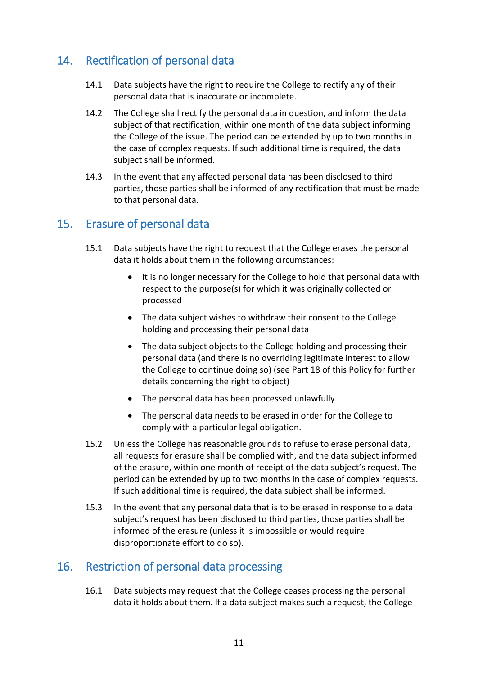# <span id="page-10-0"></span>14. Rectification of personal data

- 14.1 Data subjects have the right to require the College to rectify any of their personal data that is inaccurate or incomplete.
- 14.2 The College shall rectify the personal data in question, and inform the data subject of that rectification, within one month of the data subject informing the College of the issue. The period can be extended by up to two months in the case of complex requests. If such additional time is required, the data subject shall be informed.
- 14.3 In the event that any affected personal data has been disclosed to third parties, those parties shall be informed of any rectification that must be made to that personal data.

#### <span id="page-10-1"></span>15. Erasure of personal data

- 15.1 Data subjects have the right to request that the College erases the personal data it holds about them in the following circumstances:
	- It is no longer necessary for the College to hold that personal data with respect to the purpose(s) for which it was originally collected or processed
	- The data subject wishes to withdraw their consent to the College holding and processing their personal data
	- The data subject objects to the College holding and processing their personal data (and there is no overriding legitimate interest to allow the College to continue doing so) (see Part 18 of this Policy for further details concerning the right to object)
	- The personal data has been processed unlawfully
	- The personal data needs to be erased in order for the College to comply with a particular legal obligation.
- 15.2 Unless the College has reasonable grounds to refuse to erase personal data, all requests for erasure shall be complied with, and the data subject informed of the erasure, within one month of receipt of the data subject's request. The period can be extended by up to two months in the case of complex requests. If such additional time is required, the data subject shall be informed.
- 15.3 In the event that any personal data that is to be erased in response to a data subject's request has been disclosed to third parties, those parties shall be informed of the erasure (unless it is impossible or would require disproportionate effort to do so).

## <span id="page-10-2"></span>16. Restriction of personal data processing

16.1 Data subjects may request that the College ceases processing the personal data it holds about them. If a data subject makes such a request, the College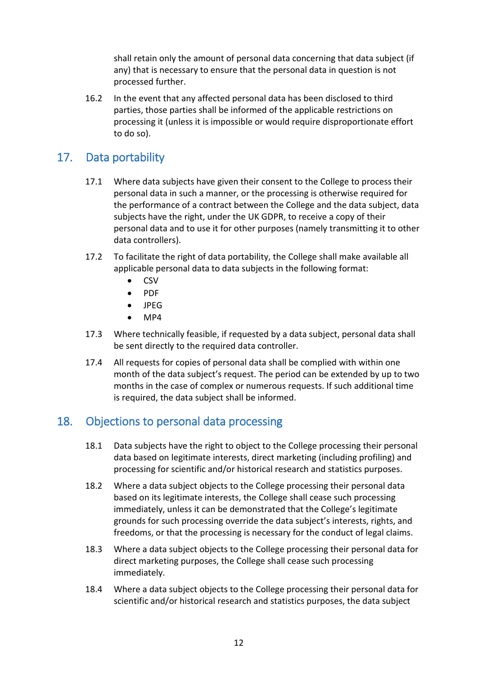shall retain only the amount of personal data concerning that data subject (if any) that is necessary to ensure that the personal data in question is not processed further.

16.2 In the event that any affected personal data has been disclosed to third parties, those parties shall be informed of the applicable restrictions on processing it (unless it is impossible or would require disproportionate effort to do so).

## <span id="page-11-0"></span>17. Data portability

- 17.1 Where data subjects have given their consent to the College to process their personal data in such a manner, or the processing is otherwise required for the performance of a contract between the College and the data subject, data subjects have the right, under the UK GDPR, to receive a copy of their personal data and to use it for other purposes (namely transmitting it to other data controllers).
- 17.2 To facilitate the right of data portability, the College shall make available all applicable personal data to data subjects in the following format:
	- CSV
	- PDF
	- JPEG
	- MP4
- 17.3 Where technically feasible, if requested by a data subject, personal data shall be sent directly to the required data controller.
- 17.4 All requests for copies of personal data shall be complied with within one month of the data subject's request. The period can be extended by up to two months in the case of complex or numerous requests. If such additional time is required, the data subject shall be informed.

## <span id="page-11-1"></span>18. Objections to personal data processing

- 18.1 Data subjects have the right to object to the College processing their personal data based on legitimate interests, direct marketing (including profiling) and processing for scientific and/or historical research and statistics purposes.
- 18.2 Where a data subject objects to the College processing their personal data based on its legitimate interests, the College shall cease such processing immediately, unless it can be demonstrated that the College's legitimate grounds for such processing override the data subject's interests, rights, and freedoms, or that the processing is necessary for the conduct of legal claims.
- 18.3 Where a data subject objects to the College processing their personal data for direct marketing purposes, the College shall cease such processing immediately.
- 18.4 Where a data subject objects to the College processing their personal data for scientific and/or historical research and statistics purposes, the data subject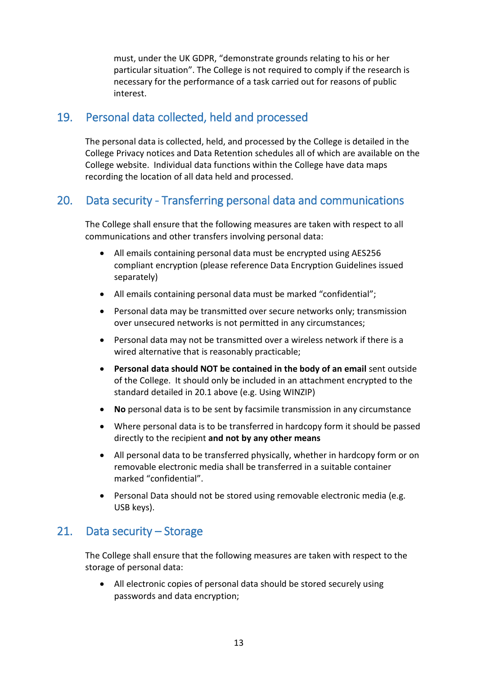must, under the UK GDPR, "demonstrate grounds relating to his or her particular situation". The College is not required to comply if the research is necessary for the performance of a task carried out for reasons of public interest.

## <span id="page-12-0"></span>19. Personal data collected, held and processed

The personal data is collected, held, and processed by the College is detailed in the College Privacy notices and Data Retention schedules all of which are available on the College website. Individual data functions within the College have data maps recording the location of all data held and processed.

## <span id="page-12-1"></span>20. Data security - Transferring personal data and communications

The College shall ensure that the following measures are taken with respect to all communications and other transfers involving personal data:

- All emails containing personal data must be encrypted using AES256 compliant encryption (please reference Data Encryption Guidelines issued separately)
- All emails containing personal data must be marked "confidential";
- Personal data may be transmitted over secure networks only; transmission over unsecured networks is not permitted in any circumstances;
- Personal data may not be transmitted over a wireless network if there is a wired alternative that is reasonably practicable;
- **Personal data should NOT be contained in the body of an email** sent outside of the College. It should only be included in an attachment encrypted to the standard detailed in 20.1 above (e.g. Using WINZIP)
- **No** personal data is to be sent by facsimile transmission in any circumstance
- Where personal data is to be transferred in hardcopy form it should be passed directly to the recipient **and not by any other means**
- All personal data to be transferred physically, whether in hardcopy form or on removable electronic media shall be transferred in a suitable container marked "confidential".
- Personal Data should not be stored using removable electronic media (e.g. USB keys).

#### <span id="page-12-2"></span>21. Data security – Storage

The College shall ensure that the following measures are taken with respect to the storage of personal data:

• All electronic copies of personal data should be stored securely using passwords and data encryption;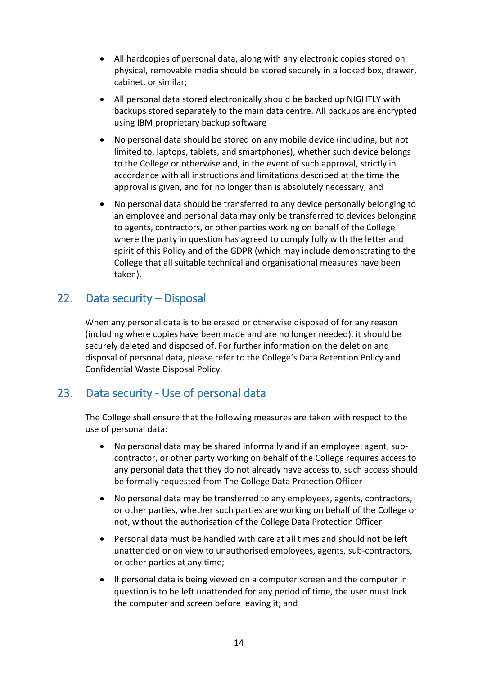- All hardcopies of personal data, along with any electronic copies stored on physical, removable media should be stored securely in a locked box, drawer, cabinet, or similar;
- All personal data stored electronically should be backed up NIGHTLY with backups stored separately to the main data centre. All backups are encrypted using IBM proprietary backup software
- No personal data should be stored on any mobile device (including, but not limited to, laptops, tablets, and smartphones), whether such device belongs to the College or otherwise and, in the event of such approval, strictly in accordance with all instructions and limitations described at the time the approval is given, and for no longer than is absolutely necessary; and
- No personal data should be transferred to any device personally belonging to an employee and personal data may only be transferred to devices belonging to agents, contractors, or other parties working on behalf of the College where the party in question has agreed to comply fully with the letter and spirit of this Policy and of the GDPR (which may include demonstrating to the College that all suitable technical and organisational measures have been taken).

## <span id="page-13-0"></span>22. Data security – Disposal

When any personal data is to be erased or otherwise disposed of for any reason (including where copies have been made and are no longer needed), it should be securely deleted and disposed of. For further information on the deletion and disposal of personal data, please refer to the College's Data Retention Policy and Confidential Waste Disposal Policy.

## <span id="page-13-1"></span>23. Data security - Use of personal data

The College shall ensure that the following measures are taken with respect to the use of personal data:

- No personal data may be shared informally and if an employee, agent, subcontractor, or other party working on behalf of the College requires access to any personal data that they do not already have access to, such access should be formally requested from The College Data Protection Officer
- No personal data may be transferred to any employees, agents, contractors, or other parties, whether such parties are working on behalf of the College or not, without the authorisation of the College Data Protection Officer
- Personal data must be handled with care at all times and should not be left unattended or on view to unauthorised employees, agents, sub-contractors, or other parties at any time;
- If personal data is being viewed on a computer screen and the computer in question is to be left unattended for any period of time, the user must lock the computer and screen before leaving it; and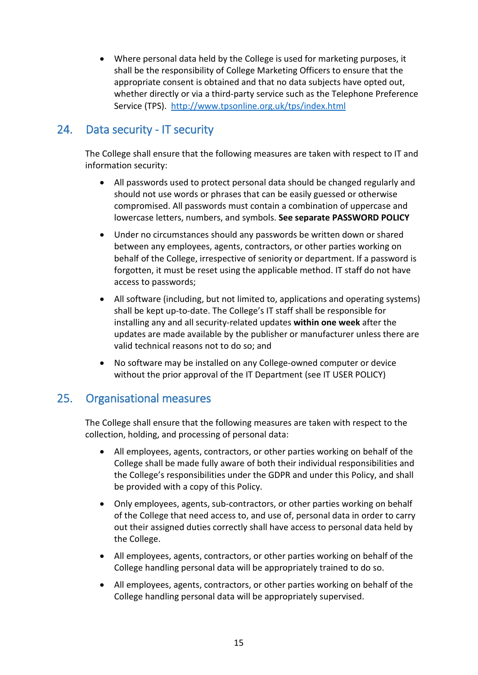• Where personal data held by the College is used for marketing purposes, it shall be the responsibility of College Marketing Officers to ensure that the appropriate consent is obtained and that no data subjects have opted out, whether directly or via a third-party service such as the Telephone Preference Service (TPS). <http://www.tpsonline.org.uk/tps/index.html>

## <span id="page-14-0"></span>24. Data security - IT security

The College shall ensure that the following measures are taken with respect to IT and information security:

- All passwords used to protect personal data should be changed regularly and should not use words or phrases that can be easily guessed or otherwise compromised. All passwords must contain a combination of uppercase and lowercase letters, numbers, and symbols. **See separate PASSWORD POLICY**
- Under no circumstances should any passwords be written down or shared between any employees, agents, contractors, or other parties working on behalf of the College, irrespective of seniority or department. If a password is forgotten, it must be reset using the applicable method. IT staff do not have access to passwords;
- All software (including, but not limited to, applications and operating systems) shall be kept up-to-date. The College's IT staff shall be responsible for installing any and all security-related updates **within one week** after the updates are made available by the publisher or manufacturer unless there are valid technical reasons not to do so; and
- No software may be installed on any College-owned computer or device without the prior approval of the IT Department (see IT USER POLICY)

#### <span id="page-14-1"></span>25. Organisational measures

The College shall ensure that the following measures are taken with respect to the collection, holding, and processing of personal data:

- All employees, agents, contractors, or other parties working on behalf of the College shall be made fully aware of both their individual responsibilities and the College's responsibilities under the GDPR and under this Policy, and shall be provided with a copy of this Policy.
- Only employees, agents, sub-contractors, or other parties working on behalf of the College that need access to, and use of, personal data in order to carry out their assigned duties correctly shall have access to personal data held by the College.
- All employees, agents, contractors, or other parties working on behalf of the College handling personal data will be appropriately trained to do so.
- All employees, agents, contractors, or other parties working on behalf of the College handling personal data will be appropriately supervised.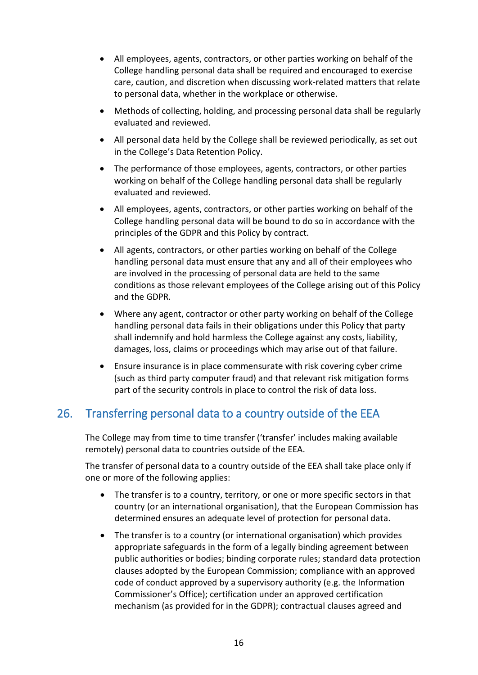- All employees, agents, contractors, or other parties working on behalf of the College handling personal data shall be required and encouraged to exercise care, caution, and discretion when discussing work-related matters that relate to personal data, whether in the workplace or otherwise.
- Methods of collecting, holding, and processing personal data shall be regularly evaluated and reviewed.
- All personal data held by the College shall be reviewed periodically, as set out in the College's Data Retention Policy.
- The performance of those employees, agents, contractors, or other parties working on behalf of the College handling personal data shall be regularly evaluated and reviewed.
- All employees, agents, contractors, or other parties working on behalf of the College handling personal data will be bound to do so in accordance with the principles of the GDPR and this Policy by contract.
- All agents, contractors, or other parties working on behalf of the College handling personal data must ensure that any and all of their employees who are involved in the processing of personal data are held to the same conditions as those relevant employees of the College arising out of this Policy and the GDPR.
- Where any agent, contractor or other party working on behalf of the College handling personal data fails in their obligations under this Policy that party shall indemnify and hold harmless the College against any costs, liability, damages, loss, claims or proceedings which may arise out of that failure.
- Ensure insurance is in place commensurate with risk covering cyber crime (such as third party computer fraud) and that relevant risk mitigation forms part of the security controls in place to control the risk of data loss.

## <span id="page-15-0"></span>26. Transferring personal data to a country outside of the EEA

The College may from time to time transfer ('transfer' includes making available remotely) personal data to countries outside of the EEA.

The transfer of personal data to a country outside of the EEA shall take place only if one or more of the following applies:

- The transfer is to a country, territory, or one or more specific sectors in that country (or an international organisation), that the European Commission has determined ensures an adequate level of protection for personal data.
- The transfer is to a country (or international organisation) which provides appropriate safeguards in the form of a legally binding agreement between public authorities or bodies; binding corporate rules; standard data protection clauses adopted by the European Commission; compliance with an approved code of conduct approved by a supervisory authority (e.g. the Information Commissioner's Office); certification under an approved certification mechanism (as provided for in the GDPR); contractual clauses agreed and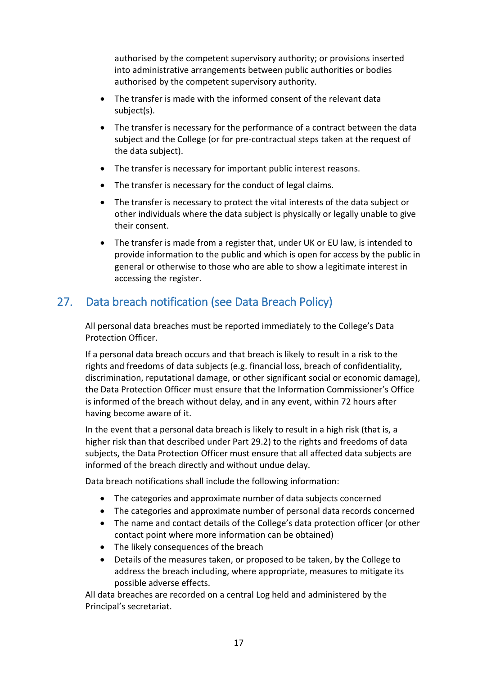authorised by the competent supervisory authority; or provisions inserted into administrative arrangements between public authorities or bodies authorised by the competent supervisory authority.

- The transfer is made with the informed consent of the relevant data subject(s).
- The transfer is necessary for the performance of a contract between the data subject and the College (or for pre-contractual steps taken at the request of the data subject).
- The transfer is necessary for important public interest reasons.
- The transfer is necessary for the conduct of legal claims.
- The transfer is necessary to protect the vital interests of the data subject or other individuals where the data subject is physically or legally unable to give their consent.
- The transfer is made from a register that, under UK or EU law, is intended to provide information to the public and which is open for access by the public in general or otherwise to those who are able to show a legitimate interest in accessing the register.

## <span id="page-16-0"></span>27. Data breach notification (see Data Breach Policy)

All personal data breaches must be reported immediately to the College's Data Protection Officer.

If a personal data breach occurs and that breach is likely to result in a risk to the rights and freedoms of data subjects (e.g. financial loss, breach of confidentiality, discrimination, reputational damage, or other significant social or economic damage), the Data Protection Officer must ensure that the Information Commissioner's Office is informed of the breach without delay, and in any event, within 72 hours after having become aware of it.

In the event that a personal data breach is likely to result in a high risk (that is, a higher risk than that described under Part 29.2) to the rights and freedoms of data subjects, the Data Protection Officer must ensure that all affected data subjects are informed of the breach directly and without undue delay.

Data breach notifications shall include the following information:

- The categories and approximate number of data subjects concerned
- The categories and approximate number of personal data records concerned
- The name and contact details of the College's data protection officer (or other contact point where more information can be obtained)
- The likely consequences of the breach
- Details of the measures taken, or proposed to be taken, by the College to address the breach including, where appropriate, measures to mitigate its possible adverse effects.

All data breaches are recorded on a central Log held and administered by the Principal's secretariat.